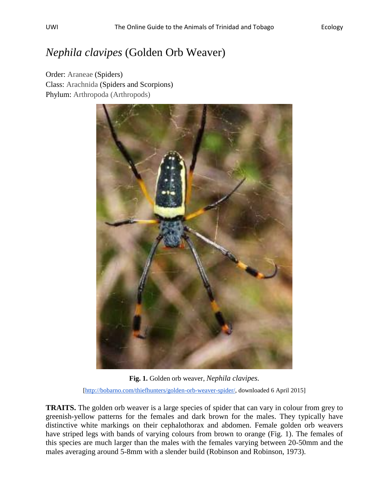## *Nephila clavipes* (Golden Orb Weaver)

Order: Araneae (Spiders) Class: Arachnida (Spiders and Scorpions) Phylum: Arthropoda (Arthropods)



**Fig. 1.** Golden orb weaver, *Nephila clavipes.* [\[http://bobarno.com/thiefhunters/golden-orb-weaver-spider/,](http://bobarno.com/thiefhunters/golden-orb-weaver-spider/) downloaded 6 April 2015]

**TRAITS.** The golden orb weaver is a large species of spider that can vary in colour from grey to greenish-yellow patterns for the females and dark brown for the males. They typically have distinctive white markings on their cephalothorax and abdomen. Female golden orb weavers have striped legs with bands of varying colours from brown to orange (Fig. 1). The females of this species are much larger than the males with the females varying between 20-50mm and the males averaging around 5-8mm with a slender build (Robinson and Robinson, 1973).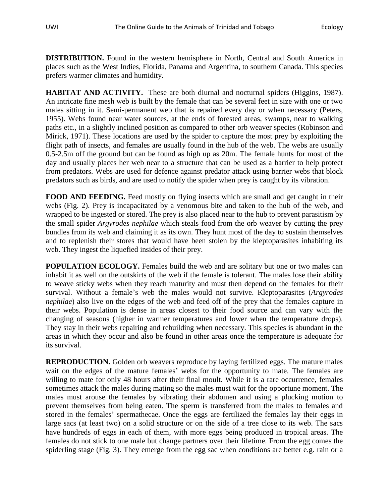**DISTRIBUTION.** Found in the western hemisphere in North, Central and South America in places such as the West Indies, Florida, Panama and Argentina, to southern Canada. This species prefers warmer climates and humidity.

**HABITAT AND ACTIVITY.** These are both diurnal and nocturnal spiders (Higgins, 1987). An intricate fine mesh web is built by the female that can be several feet in size with one or two males sitting in it. Semi-permanent web that is repaired every day or when necessary (Peters, 1955). Webs found near water sources, at the ends of forested areas, swamps, near to walking paths etc., in a slightly inclined position as compared to other orb weaver species (Robinson and Mirick, 1971). These locations are used by the spider to capture the most prey by exploiting the flight path of insects, and females are usually found in the hub of the web. The webs are usually 0.5-2.5m off the ground but can be found as high up as 20m. The female hunts for most of the day and usually places her web near to a structure that can be used as a barrier to help protect from predators. Webs are used for defence against predator attack using barrier webs that block predators such as birds, and are used to notify the spider when prey is caught by its vibration.

FOOD AND FEEDING. Feed mostly on flying insects which are small and get caught in their webs (Fig. 2). Prey is incapacitated by a venomous bite and taken to the hub of the web, and wrapped to be ingested or stored. The prey is also placed near to the hub to prevent parasitism by the small spider *Argyrodes nephilae* which steals food from the orb weaver by cutting the prey bundles from its web and claiming it as its own. They hunt most of the day to sustain themselves and to replenish their stores that would have been stolen by the kleptoparasites inhabiting its web. They ingest the liquefied insides of their prey.

**POPULATION ECOLOGY.** Females build the web and are solitary but one or two males can inhabit it as well on the outskirts of the web if the female is tolerant. The males lose their ability to weave sticky webs when they reach maturity and must then depend on the females for their survival. Without a female's web the males would not survive. Kleptoparasites (*Argyrodes nephilae*) also live on the edges of the web and feed off of the prey that the females capture in their webs. Population is dense in areas closest to their food source and can vary with the changing of seasons (higher in warmer temperatures and lower when the temperature drops). They stay in their webs repairing and rebuilding when necessary. This species is abundant in the areas in which they occur and also be found in other areas once the temperature is adequate for its survival.

**REPRODUCTION.** Golden orb weavers reproduce by laying fertilized eggs. The mature males wait on the edges of the mature females' webs for the opportunity to mate. The females are willing to mate for only 48 hours after their final moult. While it is a rare occurrence, females sometimes attack the males during mating so the males must wait for the opportune moment. The males must arouse the females by vibrating their abdomen and using a plucking motion to prevent themselves from being eaten. The sperm is transferred from the males to females and stored in the females' spermathecae. Once the eggs are fertilized the females lay their eggs in large sacs (at least two) on a solid structure or on the side of a tree close to its web. The sacs have hundreds of eggs in each of them, with more eggs being produced in tropical areas. The females do not stick to one male but change partners over their lifetime. From the egg comes the spiderling stage (Fig. 3). They emerge from the egg sac when conditions are better e.g. rain or a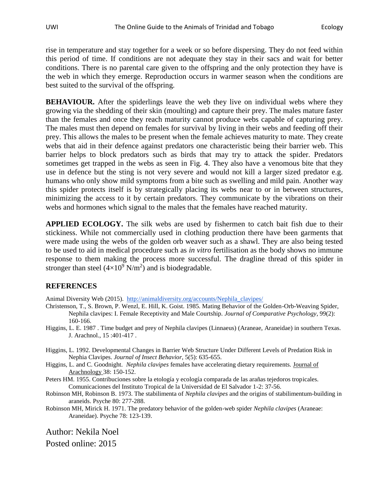rise in temperature and stay together for a week or so before dispersing. They do not feed within this period of time. If conditions are not adequate they stay in their sacs and wait for better conditions. There is no parental care given to the offspring and the only protection they have is the web in which they emerge. Reproduction occurs in warmer season when the conditions are best suited to the survival of the offspring.

**BEHAVIOUR.** After the spiderlings leave the web they live on individual webs where they growing via the shedding of their skin (moulting) and capture their prey. The males mature faster than the females and once they reach maturity cannot produce webs capable of capturing prey. The males must then depend on females for survival by living in their webs and feeding off their prey. This allows the males to be present when the female achieves maturity to mate. They create webs that aid in their defence against predators one characteristic being their barrier web. This barrier helps to block predators such as birds that may try to attack the spider. Predators sometimes get trapped in the webs as seen in Fig. 4. They also have a venomous bite that they use in defence but the sting is not very severe and would not kill a larger sized predator e.g. humans who only show mild symptoms from a bite such as swelling and mild pain. Another way this spider protects itself is by strategically placing its webs near to or in between structures, minimizing the access to it by certain predators. They communicate by the vibrations on their webs and hormones which signal to the males that the females have reached maturity.

**APPLIED ECOLOGY.** The silk webs are used by fishermen to catch bait fish due to their stickiness. While not commercially used in clothing production there have been garments that were made using the webs of the golden orb weaver such as a shawl. They are also being tested to be used to aid in medical procedure such as *in vitro* fertilisation as the body shows no immune response to them making the process more successful. The dragline thread of this spider in stronger than steel  $(4\times10^{9} \text{ N/m}^2)$  $(4\times10^{9} \text{ N/m}^2)$  $(4\times10^{9} \text{ N/m}^2)$  and is biodegradable.

## **REFERENCES**

Animal Diversity Web (2015). [http://animaldiversity.org/accounts/Nephila\\_clavipes/](http://animaldiversity.org/accounts/Nephila_clavipes/)

- Christenson, T., S. Brown, P. Wenzl, E. Hill, K. Goist. 1985. Mating Behavior of the Golden-Orb-Weaving Spider, Nephila clavipes: I. Female Receptivity and Male Courtship. *Journal of Comparative Psychology*, 99(2): 160-166.
- Higgins, L. E. 1987 . Time budget and prey of Nephila clavipes (Linnaeus) (Araneae, Araneidae) in southern Texas. J. Arachnol., 15 :401-417 .
- Higgins, L. 1992. Developmental Changes in Barrier Web Structure Under Different Levels of Predation Risk in Nephia Clavipes. *Journal of Insect Behavior*, 5(5): 635-655.
- Higgins, L. and C. Goodnight. *Nephila clavipes* females have accelerating dietary requirements. Journal of Arachnology 38: 150-152.
- Peters HM. 1955. Contribuciones sobre la etología y ecología comparada de las arañas tejedoros tropicales. Comunicaciones del Instituto Tropical de la Universidad de El Salvador 1-2: 37-56.
- Robinson MH, Robinson B. 1973. The stabilimenta of *Nephila clavipes* and the origins of stabilimentum-building in araneids. Psyche 80: 277-288.
- Robinson MH, Mirick H. 1971. The predatory behavior of the golden-web spider *Nephila clavipes* (Araneae: Araneidae). Psyche 78: 123-139.

Author: Nekila Noel Posted online: 2015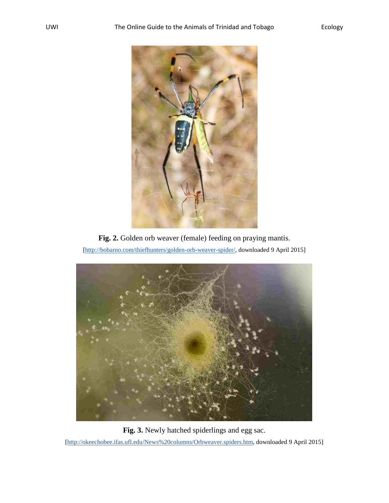





**Fig. 3.** Newly hatched spiderlings and egg sac. [\[http://okeechobee.ifas.ufl.edu/News%20columns/Orbweaver.spiders.htm,](http://okeechobee.ifas.ufl.edu/News%20columns/Orbweaver.spiders.htm) downloaded 9 April 2015]